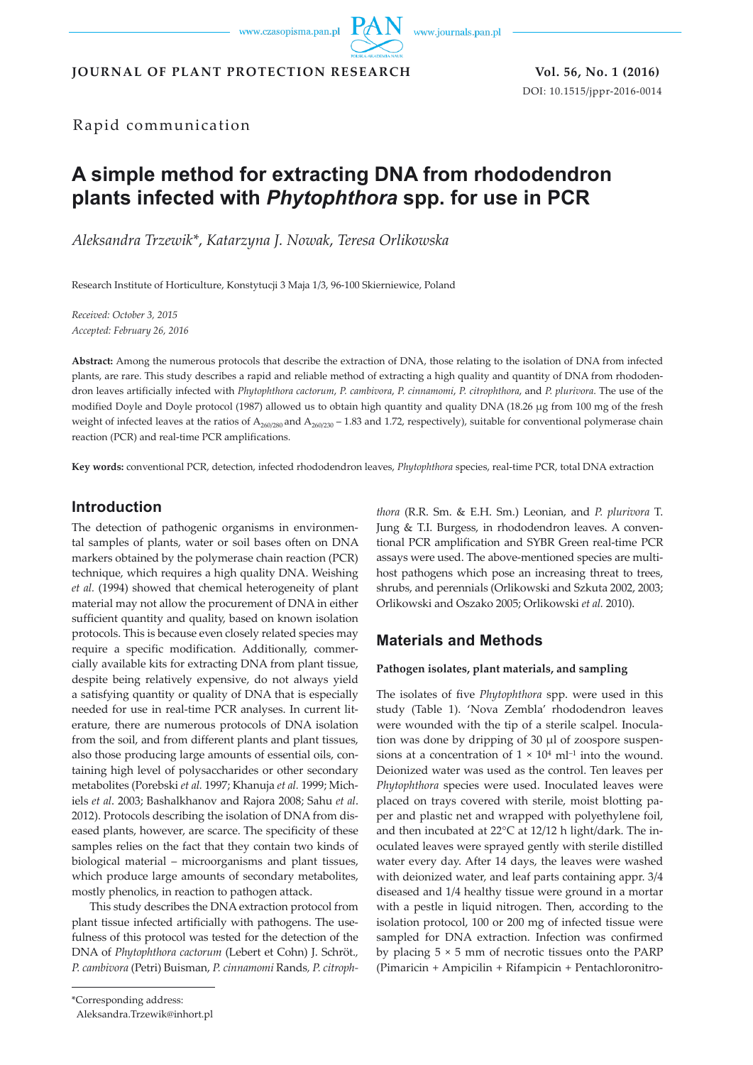www.journals.pan.pl

**JOURNAL OF PLANT PROTECTION RESEARCH Vol. 56, No. 1 (2016)**

DOI: 10.1515/jppr-2016-0014

Rapid communication

# **A simple method for extracting DNA from rhododendron plants infected with** *Phytophthora* **spp. for use in PCR**

*Aleksandra Trzewik\**, *Katarzyna J. Nowak*, *Teresa Orlikowska*

Research Institute of Horticulture, Konstytucji 3 Maja 1/3, 96-100 Skierniewice, Poland

*Received: October 3, 2015 Accepted: February 26, 2016*

**Abstract:** Among the numerous protocols that describe the extraction of DNA, those relating to the isolation of DNA from infected plants, are rare. This study describes a rapid and reliable method of extracting a high quality and quantity of DNA from rhododendron leaves artificially infected with *Phytophthora cactorum*, *P. cambivora*, *P. cinnamomi*, *P. citrophthora*, and *P. plurivora*. The use of the modified Doyle and Doyle protocol (1987) allowed us to obtain high quantity and quality DNA (18.26 µg from 100 mg of the fresh weight of infected leaves at the ratios of  $A_{260/280}$  and  $A_{260/280}$  – 1.83 and 1.72, respectively), suitable for conventional polymerase chain reaction (PCR) and real-time PCR amplifications.

**Key words:** conventional PCR, detection, infected rhododendron leaves, *Phytophthora* species, real-time PCR, total DNA extraction

# **Introduction**

The detection of pathogenic organisms in environmental samples of plants, water or soil bases often on DNA markers obtained by the polymerase chain reaction (PCR) technique, which requires a high quality DNA. Weishing *et al.* (1994) showed that chemical heterogeneity of plant material may not allow the procurement of DNA in either sufficient quantity and quality, based on known isolation protocols. This is because even closely related species may require a specific modification. Additionally, commercially available kits for extracting DNA from plant tissue, despite being relatively expensive, do not always yield a satisfying quantity or quality of DNA that is especially needed for use in real-time PCR analyses. In current literature, there are numerous protocols of DNA isolation from the soil, and from different plants and plant tissues, also those producing large amounts of essential oils, containing high level of polysaccharides or other secondary metabolites (Porebski *et al.* 1997; Khanuja *et al.* 1999; Michiels *et al*. 2003; Bashalkhanov and Rajora 2008; Sahu *et al*. 2012). Protocols describing the isolation of DNA from diseased plants, however, are scarce. The specificity of these samples relies on the fact that they contain two kinds of biological material – microorganisms and plant tissues, which produce large amounts of secondary metabolites, mostly phenolics, in reaction to pathogen attack.

This study describes the DNA extraction protocol from plant tissue infected artificially with pathogens. The usefulness of this protocol was tested for the detection of the DNA of *Phytophthora cactorum* (Lebert et Cohn) J. Schröt.*, P. cambivora* (Petri) Buisman, *P. cinnamomi* Rands*, P. citroph-*

\*Corresponding address:

*thora* (R.R. Sm. & E.H. Sm.) Leonian, and *P. plurivora* T. Jung & T.I. Burgess, in rhododendron leaves. A conventional PCR amplification and SYBR Green real-time PCR assays were used. The above-mentioned species are multihost pathogens which pose an increasing threat to trees, shrubs, and perennials (Orlikowski and Szkuta 2002, 2003; Orlikowski and Oszako 2005; Orlikowski *et al.* 2010).

# **Materials and Methods**

### **Pathogen isolates, plant materials, and sampling**

The isolates of five *Phytophthora* spp. were used in this study (Table 1). 'Nova Zembla' rhododendron leaves were wounded with the tip of a sterile scalpel. Inoculation was done by dripping of 30 µl of zoospore suspensions at a concentration of  $1 \times 10^4$  ml<sup>-1</sup> into the wound. Deionized water was used as the control. Ten leaves per *Phytophthora* species were used. Inoculated leaves were placed on trays covered with sterile, moist blotting paper and plastic net and wrapped with polyethylene foil, and then incubated at 22°C at 12/12 h light/dark. The inoculated leaves were sprayed gently with sterile distilled water every day. After 14 days, the leaves were washed with deionized water, and leaf parts containing appr. 3/4 diseased and 1/4 healthy tissue were ground in a mortar with a pestle in liquid nitrogen. Then, according to the isolation protocol, 100 or 200 mg of infected tissue were sampled for DNA extraction. Infection was confirmed by placing 5 × 5 mm of necrotic tissues onto the PARP (Pimaricin + Ampicilin + Rifampicin + Pentachloronitro-

Aleksandra.Trzewik@inhort.pl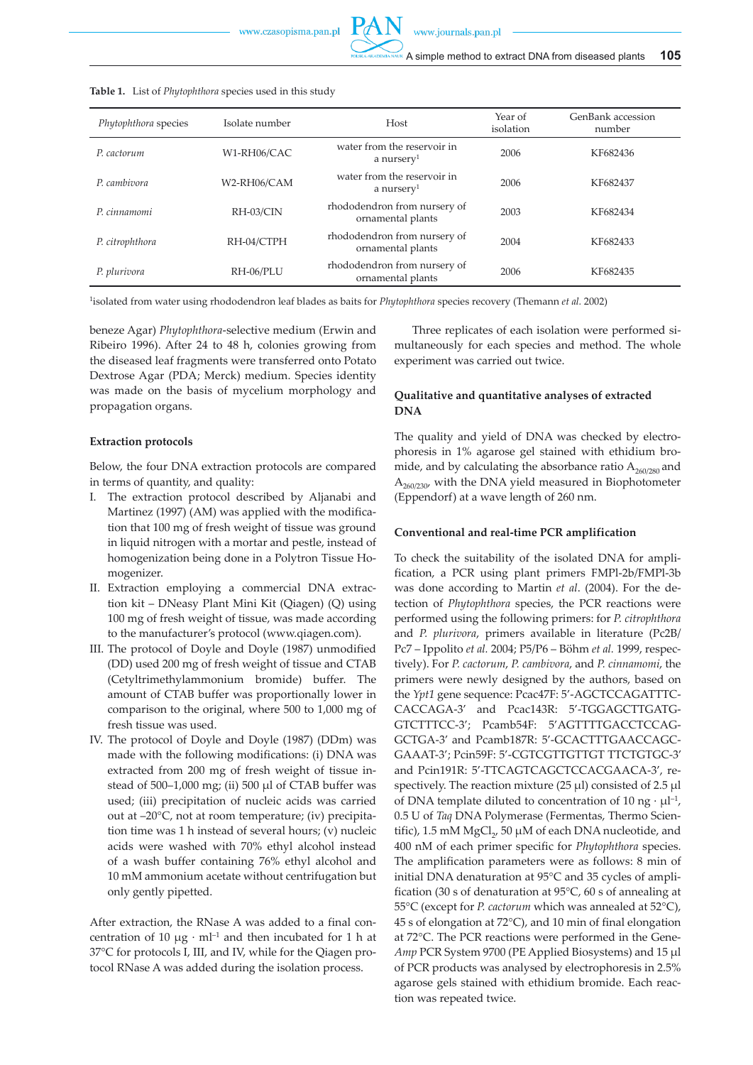www.czasopisma.pan.pl

| Phytophthora species | Isolate number | Host                                                  | Year of<br>isolation | GenBank accession<br>number |  |
|----------------------|----------------|-------------------------------------------------------|----------------------|-----------------------------|--|
| P. cactorum          | W1-RH06/CAC    | water from the reservoir in<br>a nursery <sup>1</sup> | 2006                 | KF682436                    |  |
| P. cambivora         | W2-RH06/CAM    | water from the reservoir in<br>a nursery <sup>1</sup> | 2006                 | KF682437                    |  |
| P. cinnamomi         | RH-03/CIN      | rhododendron from nursery of<br>ornamental plants     | 2003                 | KF682434                    |  |
| P. citrophthora      | RH-04/CTPH     | rhododendron from nursery of<br>ornamental plants     | 2004                 | KF682433                    |  |
| P. plurivora         | RH-06/PLU      | rhododendron from nursery of<br>ornamental plants     | 2006                 | KF682435                    |  |

PA

#### **Table 1.** List of *Phytophthora* species used in this study

1isolated from water using rhododendron leaf blades as baits for *Phytophthora* species recovery (Themann *et al.* 2002)

beneze Agar) *Phytophthora*-selective medium (Erwin and Ribeiro 1996). After 24 to 48 h, colonies growing from the diseased leaf fragments were transferred onto Potato Dextrose Agar (PDA; Merck) medium. Species identity was made on the basis of mycelium morphology and propagation organs.

#### **Extraction protocols**

Below, the four DNA extraction protocols are compared in terms of quantity, and quality:

- I. The extraction protocol described by Aljanabi and Martinez (1997) (AM) was applied with the modification that 100 mg of fresh weight of tissue was ground in liquid nitrogen with a mortar and pestle, instead of homogenization being done in a Polytron Tissue Homogenizer.
- II. Extraction employing a commercial DNA extraction kit – DNeasy Plant Mini Kit (Qiagen) (Q) using 100 mg of fresh weight of tissue, was made according to the manufacturer's protocol (www.qiagen.com).
- III. The protocol of Doyle and Doyle (1987) unmodified (DD) used 200 mg of fresh weight of tissue and CTAB (Cetyltrimethylammonium bromide) buffer. The amount of CTAB buffer was proportionally lower in comparison to the original, where 500 to 1,000 mg of fresh tissue was used.
- IV. The protocol of Doyle and Doyle (1987) (DDm) was made with the following modifications: (i) DNA was extracted from 200 mg of fresh weight of tissue instead of 500–1,000 mg; (ii) 500 µl of CTAB buffer was used; (iii) precipitation of nucleic acids was carried out at –20°C, not at room temperature; (iv) precipitation time was 1 h instead of several hours; (v) nucleic acids were washed with 70% ethyl alcohol instead of a wash buffer containing 76% ethyl alcohol and 10 mM ammonium acetate without centrifugation but only gently pipetted.

After extraction, the RNase A was added to a final concentration of 10  $\mu$ g · ml<sup>-1</sup> and then incubated for 1 h at 37°C for protocols I, III, and IV, while for the Qiagen protocol RNase A was added during the isolation process.

Three replicates of each isolation were performed simultaneously for each species and method. The whole experiment was carried out twice.

## **Qualitative and quantitative analyses of extracted DNA**

The quality and yield of DNA was checked by electrophoresis in 1% agarose gel stained with ethidium bromide, and by calculating the absorbance ratio  $A_{260/280}$  and  $A_{260/230'}$  with the DNA yield measured in Biophotometer (Eppendorf) at a wave length of 260 nm.

#### **Conventional and real-time PCR amplification**

To check the suitability of the isolated DNA for amplification, a PCR using plant primers FMPl-2b/FMPl-3b was done according to Martin *et al*. (2004). For the detection of *Phytophthora* species, the PCR reactions were performed using the following primers: for *P. citrophthora* and *P. plurivora*, primers available in literature (Pc2B/ Pc7 – Ippolito *et al.* 2004; P5/P6 – Böhm *et al.* 1999, respectively). For *P. cactorum*, *P. cambivora*, and *P. cinnamomi*, the primers were newly designed by the authors, based on the *Ypt1* gene sequence: Pcac47F: 5'-AGCTCCAGATTTC-CACCAGA-3' and Pcac143R: 5'-TGGAGCTTGATG-GTCTTTCC-3'; Pcamb54F: 5'AGTTTTGACCTCCAG-GCTGA-3' and Pcamb187R: 5'-GCACTTTGAACCAGC-GAAAT-3'; Pcin59F: 5'-CGTCGTTGTTGT TTCTGTGC-3' and Pcin191R: 5'-TTCAGTCAGCTCCACGAACA-3', respectively. The reaction mixture (25 µl) consisted of 2.5 µl of DNA template diluted to concentration of 10 ng  $\cdot \mu l^{-1}$ , 0.5 U of *Taq* DNA Polymerase (Fermentas, Thermo Scientific), 1.5 mM MgCl<sub>2</sub>, 50  $\mu$ M of each DNA nucleotide, and 400 nM of each primer specific for *Phytophthora* species. The amplification parameters were as follows: 8 min of initial DNA denaturation at 95°C and 35 cycles of amplification (30 s of denaturation at 95°C, 60 s of annealing at 55°C (except for *P. cactorum* which was annealed at 52°C), 45 s of elongation at 72°C), and 10 min of final elongation at 72°C. The PCR reactions were performed in the Gene-*Amp* PCR System 9700 (PE Applied Biosystems) and 15 µl of PCR products was analysed by electrophoresis in 2.5% agarose gels stained with ethidium bromide. Each reaction was repeated twice.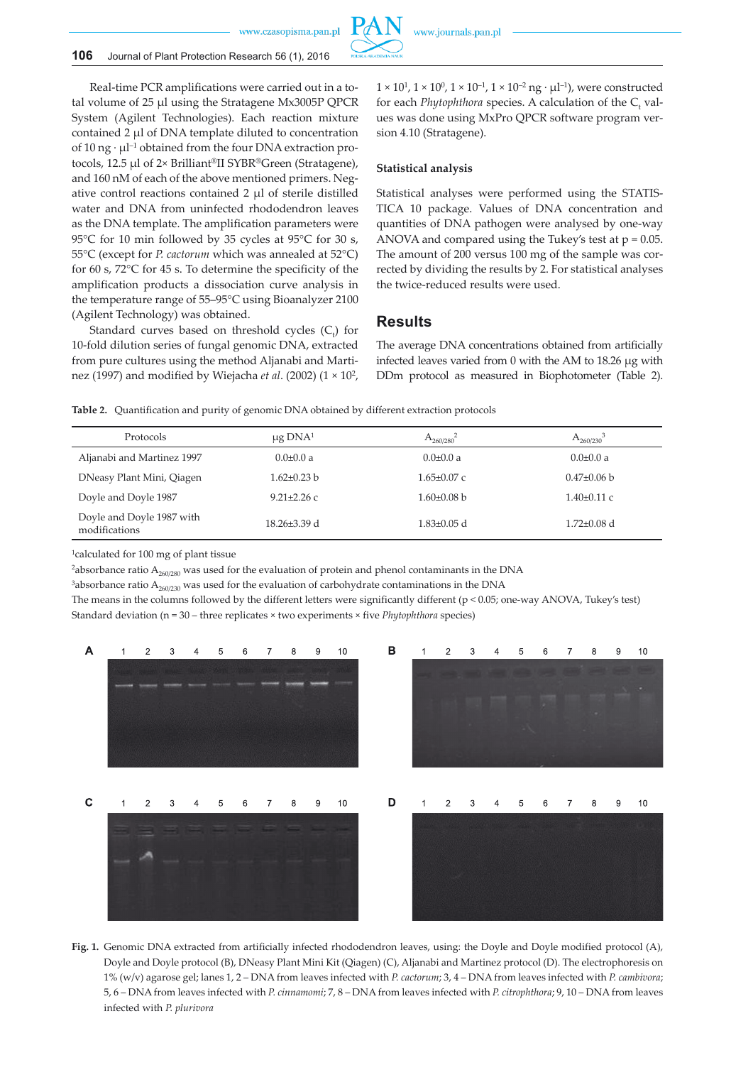www.czasopisma.pan.pl



Real-time PCR amplifications were carried out in a total volume of 25 µl using the Stratagene Mx3005P QPCR System (Agilent Technologies). Each reaction mixture contained 2 µl of DNA template diluted to concentration of 10 ng  $\cdot$   $\mu$ l<sup>-1</sup> obtained from the four DNA extraction protocols, 12.5 µl of 2× Brilliant®II SYBR®Green (Stratagene), and 160 nM of each of the above mentioned primers. Negative control reactions contained 2 µl of sterile distilled water and DNA from uninfected rhododendron leaves as the DNA template. The amplification parameters were 95°C for 10 min followed by 35 cycles at 95°C for 30 s, 55°C (except for *P. cactorum* which was annealed at 52°C) for 60 s, 72°C for 45 s. To determine the specificity of the amplification products a dissociation curve analysis in the temperature range of 55–95°C using Bioanalyzer 2100 (Agilent Technology) was obtained.

Standard curves based on threshold cycles  $(C_t)$  for 10-fold dilution series of fungal genomic DNA, extracted from pure cultures using the method Aljanabi and Martinez (1997) and modified by Wiejacha *et al*. (2002) (1 × 102,

 $1 \times 10^{1}$ ,  $1 \times 10^{0}$ ,  $1 \times 10^{-1}$ ,  $1 \times 10^{-2}$  ng ·  $\mu$ l<sup>-1</sup>), were constructed for each *Phytophthora* species. A calculation of the C<sub>t</sub> values was done using MxPro QPCR software program version 4.10 (Stratagene).

#### **Statistical analysis**

Statistical analyses were performed using the STATIS-TICA 10 package. Values of DNA concentration and quantities of DNA pathogen were analysed by one-way ANOVA and compared using the Tukey's test at  $p = 0.05$ . The amount of 200 versus 100 mg of the sample was corrected by dividing the results by 2. For statistical analyses the twice-reduced results were used.

# **Results**

The average DNA concentrations obtained from artificially infected leaves varied from 0 with the AM to 18.26 µg with DDm protocol as measured in Biophotometer (Table 2).

**Table 2.** Quantification and purity of genomic DNA obtained by different extraction protocols

| <b>Protocols</b>                           | $\mu$ g DNA <sup>1</sup> | $\rm{A_{260/280}}^2$ | $A_{260/230}$     |
|--------------------------------------------|--------------------------|----------------------|-------------------|
| Aljanabi and Martinez 1997                 | $0.0\pm0.0$ a            | $0.0 \pm 0.0 a$      | $0.0 \pm 0.0$ a   |
| DNeasy Plant Mini, Qiagen                  | $1.62 \pm 0.23$ b        | $1.65 \pm 0.07$ c    | $0.47\pm0.06$ b   |
| Doyle and Doyle 1987                       | $9.21 \pm 2.26$ c        | $1.60 \pm 0.08$ b    | $1.40 \pm 0.11$ c |
| Doyle and Doyle 1987 with<br>modifications | $18.26 \pm 3.39$ d       | $1.83 \pm 0.05$ d    | $1.72 \pm 0.08$ d |

1calculated for 100 mg of plant tissue

<sup>2</sup>absorbance ratio  $A_{260/280}$  was used for the evaluation of protein and phenol contaminants in the DNA

<sup>3</sup>absorbance ratio  $A_{260/230}$  was used for the evaluation of carbohydrate contaminations in the DNA

The means in the columns followed by the different letters were significantly different ( $p < 0.05$ ; one-way ANOVA, Tukey's test) Standard deviation (n = 30 – three replicates × two experiments × five *Phytophthora* species)



**Fig. 1.** Genomic DNA extracted from artificially infected rhododendron leaves, using: the Doyle and Doyle modified protocol (A), Doyle and Doyle protocol (B), DNeasy Plant Mini Kit (Qiagen) (C), Aljanabi and Martinez protocol (D). The electrophoresis on 1% (w/v) agarose gel; lanes 1, 2 – DNA from leaves infected with *P. cactorum*; 3, 4 – DNA from leaves infected with *P. cambivora*; 5, 6 – DNA from leaves infected with *P. cinnamomi*; 7, 8 – DNA from leaves infected with *P. citrophthora*; 9, 10 – DNA from leaves infected with *P. plurivora*

www.journals.pan.pl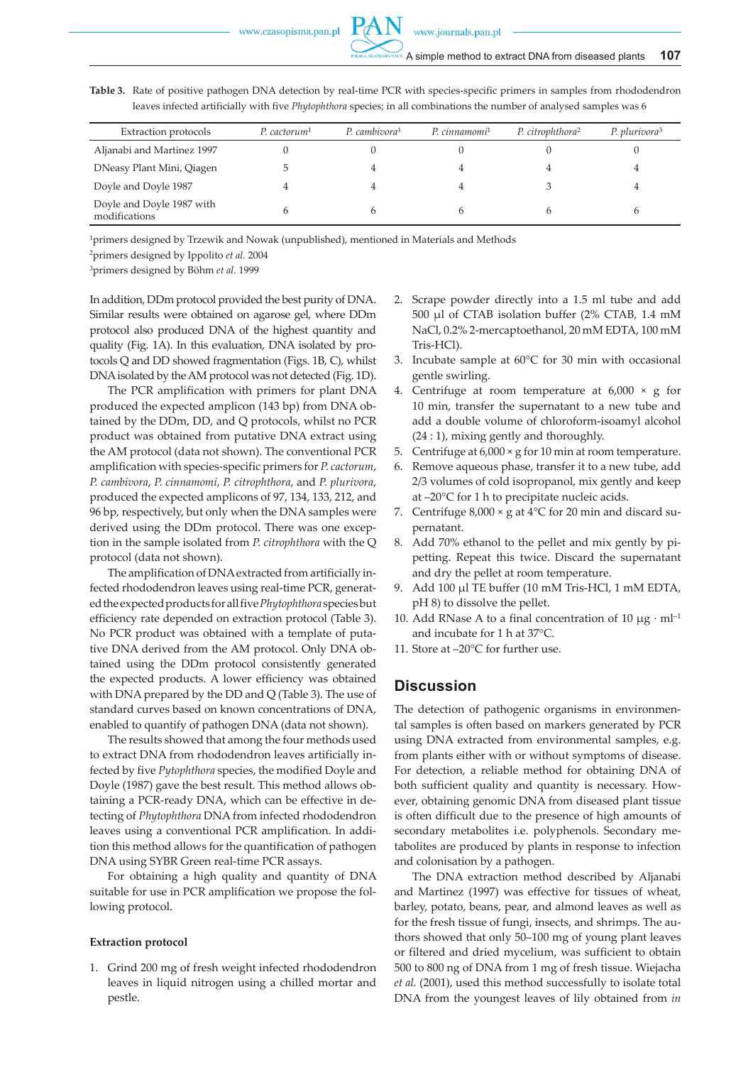www.czasopisma.pan.pl

**Table 3.** Rate of positive pathogen DNA detection by real-time PCR with species-specific primers in samples from rhododendron leaves infected artificially with five *Phytophthora* species; in all combinations the number of analysed samples was 6

**PAN** 

| Extraction protocols                       | $P.$ cactorum <sup>1</sup> | P. cambivora <sup>1</sup> | P. cinnamomi <sup>1</sup> | P. citrophthora <sup>2</sup> | P. plurivora <sup>3</sup> |
|--------------------------------------------|----------------------------|---------------------------|---------------------------|------------------------------|---------------------------|
| Aljanabi and Martinez 1997                 |                            |                           |                           |                              |                           |
| DNeasy Plant Mini, Qiagen                  |                            |                           |                           |                              |                           |
| Doyle and Doyle 1987                       | 4                          |                           |                           |                              |                           |
| Doyle and Doyle 1987 with<br>modifications |                            |                           |                           |                              |                           |

1primers designed by Trzewik and Nowak (unpublished), mentioned in Materials and Methods

2primers designed by Ippolito *et al.* 2004

3primers designed by Böhm *et al.* 1999

In addition, DDm protocol provided the best purity of DNA. Similar results were obtained on agarose gel, where DDm protocol also produced DNA of the highest quantity and quality (Fig. 1A). In this evaluation, DNA isolated by protocols Q and DD showed fragmentation (Figs. 1B, C), whilst DNA isolated by the AM protocol was not detected (Fig. 1D).

The PCR amplification with primers for plant DNA produced the expected amplicon (143 bp) from DNA obtained by the DDm, DD, and Q protocols, whilst no PCR product was obtained from putative DNA extract using the AM protocol (data not shown). The conventional PCR amplification with species-specific primers for *P. cactorum*, *P. cambivora*, *P. cinnamomi*, *P. citrophthora*, and *P. plurivora*, produced the expected amplicons of 97, 134, 133, 212, and 96 bp, respectively, but only when the DNA samples were derived using the DDm protocol. There was one exception in the sample isolated from *P. citrophthora* with the Q protocol (data not shown).

The amplification of DNA extracted from artificially infected rhododendron leaves using real-time PCR, generated the expected products for all five *Phytophthora* species but efficiency rate depended on extraction protocol (Table 3). No PCR product was obtained with a template of putative DNA derived from the AM protocol. Only DNA obtained using the DDm protocol consistently generated the expected products. A lower efficiency was obtained with DNA prepared by the DD and Q (Table 3). The use of standard curves based on known concentrations of DNA, enabled to quantify of pathogen DNA (data not shown).

The results showed that among the four methods used to extract DNA from rhododendron leaves artificially infected by five *Pytophthora* species, the modified Doyle and Doyle (1987) gave the best result. This method allows obtaining a PCR-ready DNA, which can be effective in detecting of *Phytophthora* DNA from infected rhododendron leaves using a conventional PCR amplification. In addition this method allows for the quantification of pathogen DNA using SYBR Green real-time PCR assays.

For obtaining a high quality and quantity of DNA suitable for use in PCR amplification we propose the following protocol.

#### **Extraction protocol**

1. Grind 200 mg of fresh weight infected rhododendron leaves in liquid nitrogen using a chilled mortar and pestle.

- 2. Scrape powder directly into a 1.5 ml tube and add 500 µl of CTAB isolation buffer (2% CTAB, 1.4 mM NaCl, 0.2% 2-mercaptoethanol, 20 mM EDTA, 100 mM Tris-HCl).
- 3. Incubate sample at 60°C for 30 min with occasional gentle swirling.
- 4. Centrifuge at room temperature at  $6,000 \times g$  for 10 min, transfer the supernatant to a new tube and add a double volume of chloroform-isoamyl alcohol (24 : 1), mixing gently and thoroughly.
- 5. Centrifuge at 6,000 × g for 10 min at room temperature.
- 6. Remove aqueous phase, transfer it to a new tube, add 2/3 volumes of cold isopropanol, mix gently and keep at –20°C for 1 h to precipitate nucleic acids.
- 7. Centrifuge 8,000 × g at 4°C for 20 min and discard supernatant.
- 8. Add 70% ethanol to the pellet and mix gently by pipetting. Repeat this twice. Discard the supernatant and dry the pellet at room temperature.
- 9. Add 100 µl TE buffer (10 mM Tris-HCl, 1 mM EDTA, pH 8) to dissolve the pellet.
- 10. Add RNase A to a final concentration of 10  $\mu$ g · ml<sup>-1</sup> and incubate for 1 h at 37°C.
- 11. Store at –20°C for further use.

# **Discussion**

The detection of pathogenic organisms in environmental samples is often based on markers generated by PCR using DNA extracted from environmental samples, e.g. from plants either with or without symptoms of disease. For detection, a reliable method for obtaining DNA of both sufficient quality and quantity is necessary. However, obtaining genomic DNA from diseased plant tissue is often difficult due to the presence of high amounts of secondary metabolites i.e. polyphenols. Secondary metabolites are produced by plants in response to infection and colonisation by a pathogen.

The DNA extraction method described by Aljanabi and Martinez (1997) was effective for tissues of wheat, barley, potato, beans, pear, and almond leaves as well as for the fresh tissue of fungi, insects, and shrimps. The authors showed that only 50–100 mg of young plant leaves or filtered and dried mycelium, was sufficient to obtain 500 to 800 ng of DNA from 1 mg of fresh tissue. Wiejacha *et al.* (2001), used this method successfully to isolate total DNA from the youngest leaves of lily obtained from *in*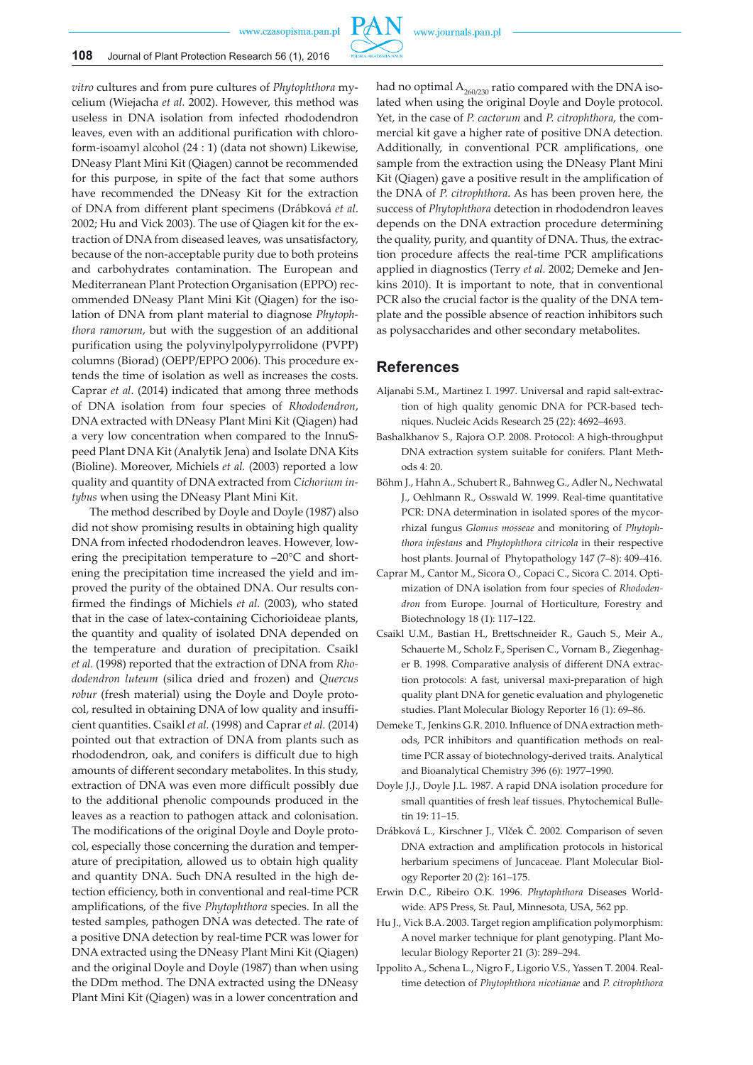

*vitro* cultures and from pure cultures of *Phytophthora* mycelium (Wiejacha *et al.* 2002). However, this method was useless in DNA isolation from infected rhododendron leaves, even with an additional purification with chloroform-isoamyl alcohol (24 : 1) (data not shown) Likewise, DNeasy Plant Mini Kit (Qiagen) cannot be recommended for this purpose, in spite of the fact that some authors have recommended the DNeasy Kit for the extraction of DNA from different plant specimens (Drábková *et al*. 2002; Hu and Vick 2003). The use of Qiagen kit for the extraction of DNA from diseased leaves, was unsatisfactory, because of the non-acceptable purity due to both proteins and carbohydrates contamination. The European and Mediterranean Plant Protection Organisation (EPPO) recommended DNeasy Plant Mini Kit (Qiagen) for the isolation of DNA from plant material to diagnose *Phytophthora ramorum*, but with the suggestion of an additional purification using the polyvinylpolypyrrolidone (PVPP) columns (Biorad) (OEPP/EPPO 2006). This procedure extends the time of isolation as well as increases the costs. Caprar *et al*. (2014) indicated that among three methods of DNA isolation from four species of *Rhododendron*, DNA extracted with DNeasy Plant Mini Kit (Qiagen) had a very low concentration when compared to the InnuSpeed Plant DNA Kit (Analytik Jena) and Isolate DNA Kits (Bioline). Moreover, Michiels *et al.* (2003) reported a low quality and quantity of DNA extracted from *Cichorium intybus* when using the DNeasy Plant Mini Kit.

The method described by Doyle and Doyle (1987) also did not show promising results in obtaining high quality DNA from infected rhododendron leaves. However, lowering the precipitation temperature to –20°C and shortening the precipitation time increased the yield and improved the purity of the obtained DNA. Our results confirmed the findings of Michiels *et al.* (2003), who stated that in the case of latex-containing Cichorioideae plants, the quantity and quality of isolated DNA depended on the temperature and duration of precipitation. Csaikl *et al.* (1998) reported that the extraction of DNA from *Rhododendron luteum* (silica dried and frozen) and *Quercus robur* (fresh material) using the Doyle and Doyle protocol, resulted in obtaining DNA of low quality and insufficient quantities. Csaikl *et al.* (1998) and Caprar *et al.* (2014) pointed out that extraction of DNA from plants such as rhododendron, oak, and conifers is difficult due to high amounts of different secondary metabolites. In this study, extraction of DNA was even more difficult possibly due to the additional phenolic compounds produced in the leaves as a reaction to pathogen attack and colonisation. The modifications of the original Doyle and Doyle protocol, especially those concerning the duration and temperature of precipitation, allowed us to obtain high quality and quantity DNA. Such DNA resulted in the high detection efficiency, both in conventional and real-time PCR amplifications, of the five *Phytophthora* species. In all the tested samples, pathogen DNA was detected. The rate of a positive DNA detection by real-time PCR was lower for DNA extracted using the DNeasy Plant Mini Kit (Qiagen) and the original Doyle and Doyle (1987) than when using the DDm method. The DNA extracted using the DNeasy Plant Mini Kit (Qiagen) was in a lower concentration and had no optimal  $A_{260/230}$  ratio compared with the DNA isolated when using the original Doyle and Doyle protocol. Yet, in the case of *P. cactorum* and *P. citrophthora*, the commercial kit gave a higher rate of positive DNA detection. Additionally, in conventional PCR amplifications, one sample from the extraction using the DNeasy Plant Mini Kit (Qiagen) gave a positive result in the amplification of the DNA of *P. citrophthora*. As has been proven here, the success of *Phytophthora* detection in rhododendron leaves depends on the DNA extraction procedure determining the quality, purity, and quantity of DNA. Thus, the extraction procedure affects the real-time PCR amplifications applied in diagnostics (Terry *et al.* 2002; Demeke and Jenkins 2010). It is important to note, that in conventional PCR also the crucial factor is the quality of the DNA template and the possible absence of reaction inhibitors such as polysaccharides and other secondary metabolites.

## **References**

- Aljanabi S.M., Martinez I. 1997. Universal and rapid salt-extraction of high quality genomic DNA for PCR-based techniques. Nucleic Acids Research 25 (22): 4692–4693.
- Bashalkhanov S., Rajora O.P. 2008. Protocol: A high-throughput DNA extraction system suitable for conifers. Plant Methods 4: 20.
- Böhm J., Hahn A., Schubert R., Bahnweg G., Adler N., Nechwatal J., Oehlmann R., Osswald W. 1999. Real-time quantitative PCR: DNA determination in isolated spores of the mycorrhizal fungus *Glomus mosseae* and monitoring of *Phytophthora infestans* and *Phytophthora citricola* in their respective host plants. Journal of Phytopathology 147 (7–8): 409–416.
- Caprar M., Cantor M., Sicora O., Copaci C., Sicora C. 2014. Optimization of DNA isolation from four species of *Rhododendron* from Europe. Journal of Horticulture, Forestry and Biotechnology 18 (1): 117–122.
- Csaikl U.M., Bastian H., Brettschneider R., Gauch S., Meir A., Schauerte M., Scholz F., Sperisen C., Vornam B., Ziegenhager B. 1998. Comparative analysis of different DNA extraction protocols: A fast, universal maxi-preparation of high quality plant DNA for genetic evaluation and phylogenetic studies. Plant Molecular Biology Reporter 16 (1): 69–86.
- Demeke T., Jenkins G.R. 2010. Influence of DNA extraction methods, PCR inhibitors and quantification methods on realtime PCR assay of biotechnology-derived traits. Analytical and Bioanalytical Chemistry 396 (6): 1977–1990.
- Doyle J.J., Doyle J.L. 1987. A rapid DNA isolation procedure for small quantities of fresh leaf tissues. Phytochemical Bulletin 19: 11–15.
- Drábková L., Kirschner J., Vlček Č. 2002. Comparison of seven DNA extraction and amplification protocols in historical herbarium specimens of Juncaceae. Plant Molecular Biology Reporter 20 (2): 161–175.
- Erwin D.C., Ribeiro O.K. 1996. *Phytophthora* Diseases Worldwide. APS Press, St. Paul, Minnesota, USA, 562 pp.
- Hu J., Vick B.A. 2003. Target region amplification polymorphism: A novel marker technique for plant genotyping. Plant Molecular Biology Reporter 21 (3): 289–294.
- Ippolito A., Schena L., Nigro F., Ligorio V.S., Yassen T. 2004. Realtime detection of *Phytophthora nicotianae* and *P. citrophthora*